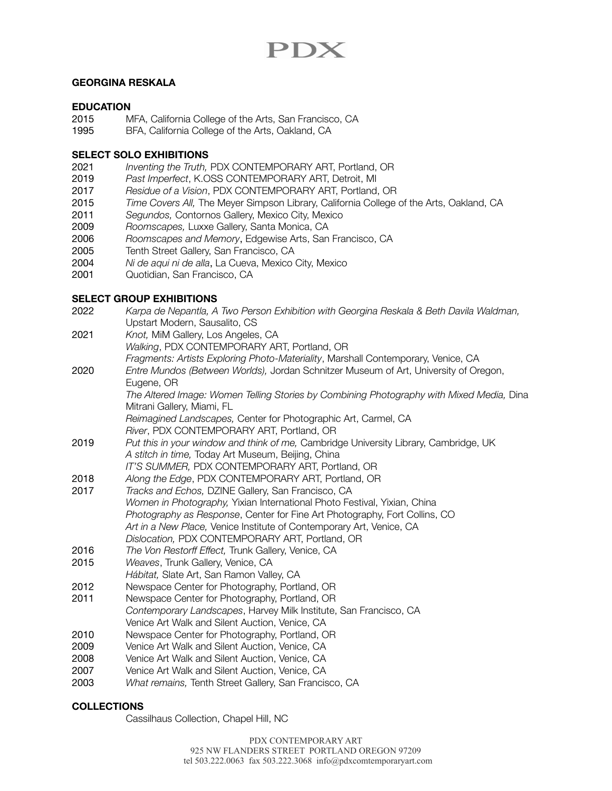# PDX

## **GEORGINA RESKALA**

## **EDUCATION**

- 2015 MFA, California College of the Arts, San Francisco, CA
- 1995 BFA, California College of the Arts, Oakland, CA

#### **SELECT SOLO EXHIBITIONS**

- 2021 *Inventing the Truth,* PDX CONTEMPORARY ART, Portland, OR
- 2019 *Past Imperfect*, K.OSS CONTEMPORARY ART, Detroit, MI
- 2017 *Residue of a Vision*, PDX CONTEMPORARY ART, Portland, OR
- 2015 *Time Covers All,* The Meyer Simpson Library, California College of the Arts, Oakland, CA
- 2011 *Segundos,* Contornos Gallery, Mexico City, Mexico
- 2009 *Roomscapes,* Luxxe Gallery, Santa Monica, CA
- 2006 *Roomscapes and Memory*, Edgewise Arts, San Francisco, CA
- 2005 Tenth Street Gallery, San Francisco, CA
- 2004 *Ni de aqui ni de alla*, La Cueva, Mexico City, Mexico
- 2001 Quotidian, San Francisco, CA

#### **SELECT GROUP EXHIBITIONS**

- 2022 *Karpa de Nepantla, A Two Person Exhibition with Georgina Reskala & Beth Davila Waldman,*  Upstart Modern, Sausalito, CS
- 2021 *Knot,* MiM Gallery, Los Angeles, CA *Walking*, PDX CONTEMPORARY ART, Portland, OR *Fragments: Artists Exploring Photo-Materiality*, Marshall Contemporary, Venice, CA
- 2020 *Entre Mundos (Between Worlds),* Jordan Schnitzer Museum of Art, University of Oregon, Eugene, OR

The Altered Image: Women Telling Stories by Combining Photography with Mixed Media, Dina Mitrani Gallery, Miami, FL

*Reimagined Landscapes,* Center for Photographic Art, Carmel, CA

- *River*, PDX CONTEMPORARY ART, Portland, OR
- 2019 *Put this in your window and think of me,* Cambridge University Library, Cambridge, UK *A stitch in time,* Today Art Museum, Beijing, China
	- *IT'S SUMMER,* PDX CONTEMPORARY ART, Portland, OR
- 2018 *Along the Edge*, PDX CONTEMPORARY ART, Portland, OR
- 2017 *Tracks and Echos,* DZINE Gallery, San Francisco, CA *Women in Photography,* Yixian International Photo Festival, Yixian, China *Photography as Response*, Center for Fine Art Photography, Fort Collins, CO *Art in a New Place,* Venice Institute of Contemporary Art, Venice, CA *Dislocation,* PDX CONTEMPORARY ART, Portland, OR
- 2016 *The Von Restorff Effect,* Trunk Gallery, Venice, CA
- 2015 *Weaves*, Trunk Gallery, Venice, CA
- *Hábitat,* Slate Art, San Ramon Valley, CA
- 2012 Newspace Center for Photography, Portland, OR
- 2011 Newspace Center for Photography, Portland, OR *Contemporary Landscapes*, Harvey Milk Institute, San Francisco, CA Venice Art Walk and Silent Auction, Venice, CA
- 2010 Newspace Center for Photography, Portland, OR
- 2009 Venice Art Walk and Silent Auction, Venice, CA
- 2008 Venice Art Walk and Silent Auction, Venice, CA
- 2007 Venice Art Walk and Silent Auction, Venice, CA
- 2003 *What remains,* Tenth Street Gallery, San Francisco, CA

## **COLLECTIONS**

Cassilhaus Collection, Chapel Hill, NC